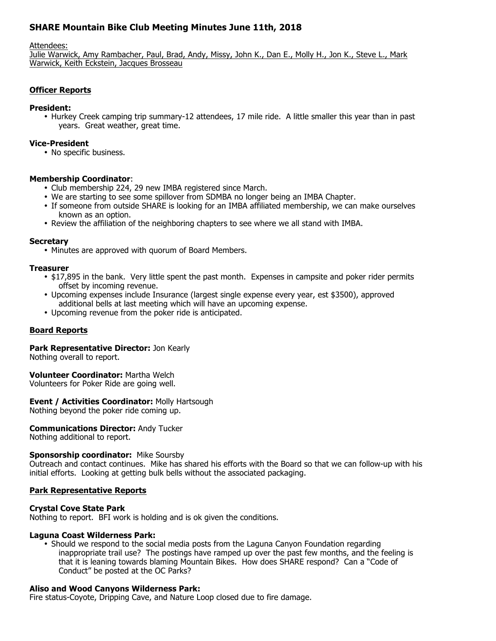# **SHARE Mountain Bike Club Meeting Minutes June 11th, 2018**

Attendees:

Julie Warwick, Amy Rambacher, Paul, Brad, Andy, Missy, John K., Dan E., Molly H., Jon K., Steve L., Mark Warwick, Keith Eckstein, Jacques Brosseau

### **Officer Reports**

#### **President:**

• Hurkey Creek camping trip summary-12 attendees, 17 mile ride. A little smaller this year than in past years. Great weather, great time.

#### **Vice-President**

• No specific business.

### **Membership Coordinator**:

- Club membership 224, 29 new IMBA registered since March.
- We are starting to see some spillover from SDMBA no longer being an IMBA Chapter.
- If someone from outside SHARE is looking for an IMBA affiliated membership, we can make ourselves known as an option.
- Review the affiliation of the neighboring chapters to see where we all stand with IMBA.

#### **Secretary**

• Minutes are approved with quorum of Board Members.

#### **Treasurer**

- \$17,895 in the bank. Very little spent the past month. Expenses in campsite and poker rider permits offset by incoming revenue.
- Upcoming expenses include Insurance (largest single expense every year, est \$3500), approved additional bells at last meeting which will have an upcoming expense.
- Upcoming revenue from the poker ride is anticipated.

### **Board Reports**

## **Park Representative Director:** Jon Kearly

Nothing overall to report.

### **Volunteer Coordinator:** Martha Welch

Volunteers for Poker Ride are going well.

### **Event / Activities Coordinator:** Molly Hartsough

Nothing beyond the poker ride coming up.

### **Communications Director:** Andy Tucker

Nothing additional to report.

#### **Sponsorship coordinator:** Mike Soursby

Outreach and contact continues. Mike has shared his efforts with the Board so that we can follow-up with his initial efforts. Looking at getting bulk bells without the associated packaging.

#### **Park Representative Reports**

### **Crystal Cove State Park**

Nothing to report. BFI work is holding and is ok given the conditions.

#### **Laguna Coast Wilderness Park:**

• Should we respond to the social media posts from the Laguna Canyon Foundation regarding inappropriate trail use? The postings have ramped up over the past few months, and the feeling is that it is leaning towards blaming Mountain Bikes. How does SHARE respond? Can a "Code of Conduct" be posted at the OC Parks?

#### **Aliso and Wood Canyons Wilderness Park:**

Fire status-Coyote, Dripping Cave, and Nature Loop closed due to fire damage.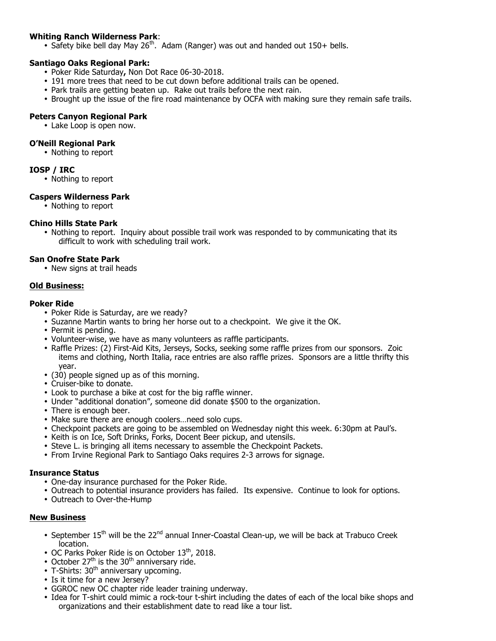## **Whiting Ranch Wilderness Park**:

• Safety bike bell day May 26<sup>th</sup>. Adam (Ranger) was out and handed out 150+ bells.

### **Santiago Oaks Regional Park:**

- Poker Ride Saturday**,** Non Dot Race 06-30-2018.
- 191 more trees that need to be cut down before additional trails can be opened.
- Park trails are getting beaten up. Rake out trails before the next rain.
- Brought up the issue of the fire road maintenance by OCFA with making sure they remain safe trails.

### **Peters Canyon Regional Park**

• Lake Loop is open now.

### **O'Neill Regional Park**

• Nothing to report

### **IOSP / IRC**

• Nothing to report

### **Caspers Wilderness Park**

• Nothing to report

### **Chino Hills State Park**

• Nothing to report. Inquiry about possible trail work was responded to by communicating that its difficult to work with scheduling trail work.

### **San Onofre State Park**

• New signs at trail heads

### **Old Business:**

### **Poker Ride**

- Poker Ride is Saturday, are we ready?
- Suzanne Martin wants to bring her horse out to a checkpoint. We give it the OK.
- Permit is pending.
- Volunteer-wise, we have as many volunteers as raffle participants.
- Raffle Prizes: (2) First-Aid Kits, Jerseys, Socks, seeking some raffle prizes from our sponsors. Zoic items and clothing, North Italia, race entries are also raffle prizes. Sponsors are a little thrifty this year.
- (30) people signed up as of this morning.
- Cruiser-bike to donate.
- Look to purchase a bike at cost for the big raffle winner.
- Under "additional donation", someone did donate \$500 to the organization.
- There is enough beer.
- Make sure there are enough coolers…need solo cups.
- Checkpoint packets are going to be assembled on Wednesday night this week. 6:30pm at Paul's.
- Keith is on Ice, Soft Drinks, Forks, Docent Beer pickup, and utensils.
- Steve L. is bringing all items necessary to assemble the Checkpoint Packets.
- From Irvine Regional Park to Santiago Oaks requires 2-3 arrows for signage.

### **Insurance Status**

- One-day insurance purchased for the Poker Ride.
- Outreach to potential insurance providers has failed. Its expensive. Continue to look for options.
- Outreach to Over-the-Hump

## **New Business**

- September  $15<sup>th</sup>$  will be the  $22<sup>nd</sup>$  annual Inner-Coastal Clean-up, we will be back at Trabuco Creek location.
- OC Parks Poker Ride is on October  $13<sup>th</sup>$ , 2018.
- October  $27<sup>th</sup>$  is the  $30<sup>th</sup>$  anniversary ride.
- $\bullet$  T-Shirts: 30<sup>th</sup> anniversary upcoming.
- Is it time for a new Jersey?
- GGROC new OC chapter ride leader training underway.
- Idea for T-shirt could mimic a rock-tour t-shirt including the dates of each of the local bike shops and organizations and their establishment date to read like a tour list.